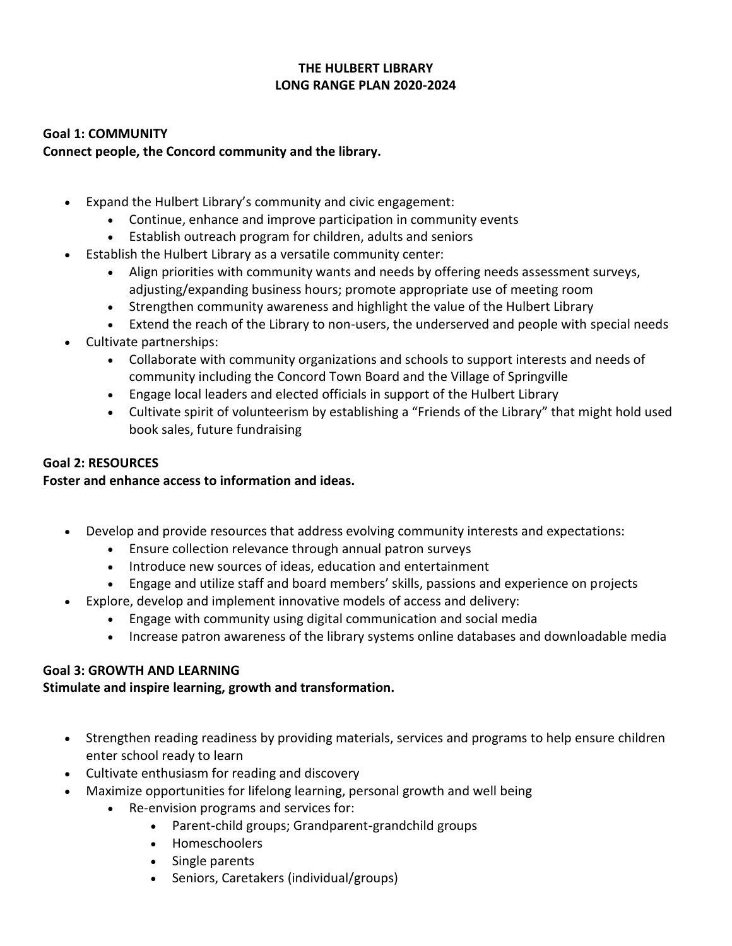## **THE HULBERT LIBRARY LONG RANGE PLAN 2020-2024**

#### **Goal 1: COMMUNITY**

#### **Connect people, the Concord community and the library.**

- Expand the Hulbert Library's community and civic engagement:
	- Continue, enhance and improve participation in community events
	- Establish outreach program for children, adults and seniors
- Establish the Hulbert Library as a versatile community center:
	- Align priorities with community wants and needs by offering needs assessment surveys, adjusting/expanding business hours; promote appropriate use of meeting room
	- Strengthen community awareness and highlight the value of the Hulbert Library
	- Extend the reach of the Library to non-users, the underserved and people with special needs
- Cultivate partnerships:
	- Collaborate with community organizations and schools to support interests and needs of community including the Concord Town Board and the Village of Springville
	- Engage local leaders and elected officials in support of the Hulbert Library
	- Cultivate spirit of volunteerism by establishing a "Friends of the Library" that might hold used book sales, future fundraising

#### **Goal 2: RESOURCES**

### **Foster and enhance access to information and ideas.**

- Develop and provide resources that address evolving community interests and expectations:
	- Ensure collection relevance through annual patron surveys
	- Introduce new sources of ideas, education and entertainment
	- Engage and utilize staff and board members' skills, passions and experience on projects
- Explore, develop and implement innovative models of access and delivery:
	- Engage with community using digital communication and social media
	- Increase patron awareness of the library systems online databases and downloadable media

### **Goal 3: GROWTH AND LEARNING**

### **Stimulate and inspire learning, growth and transformation.**

- Strengthen reading readiness by providing materials, services and programs to help ensure children enter school ready to learn
- Cultivate enthusiasm for reading and discovery
- Maximize opportunities for lifelong learning, personal growth and well being
	- Re-envision programs and services for:
		- Parent-child groups; Grandparent-grandchild groups
		- Homeschoolers
		- Single parents
		- Seniors, Caretakers (individual/groups)